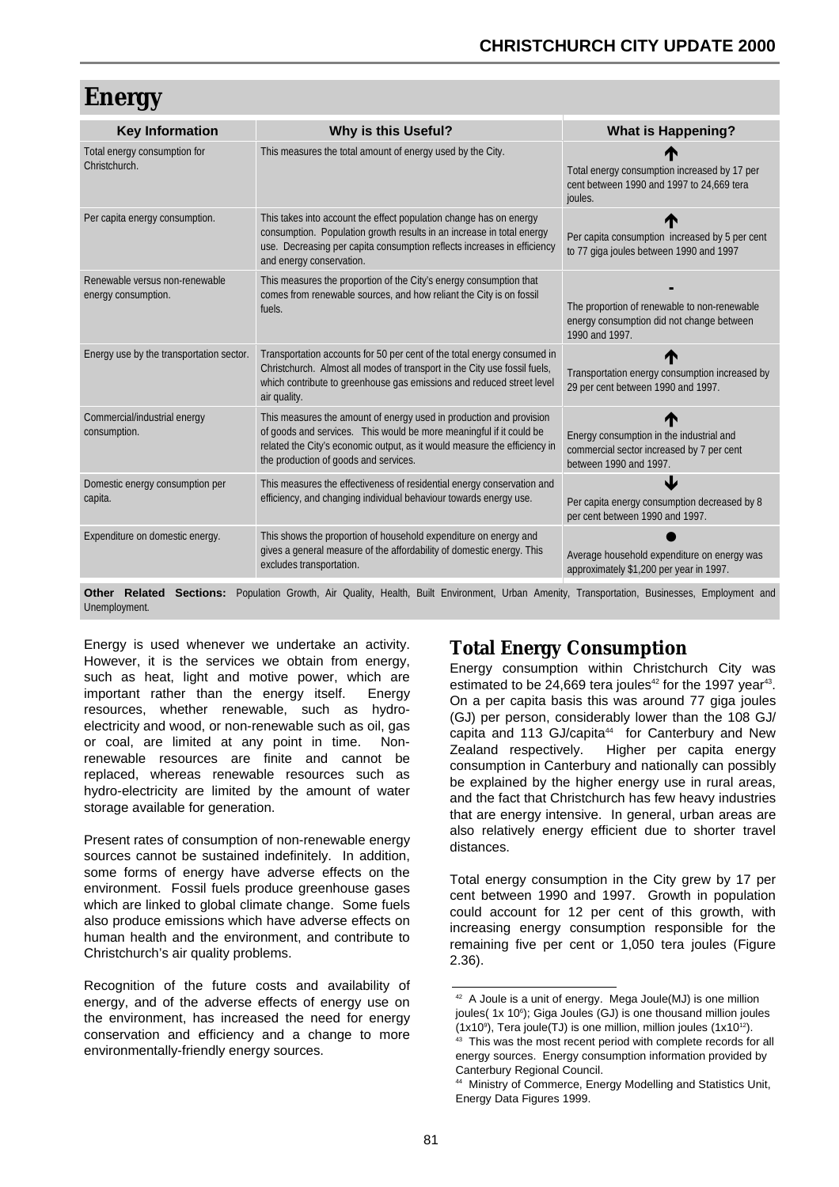# **Energy**

| <b>Key Information</b>                                | Why is this Useful?                                                                                                                                                                                                                                              | <b>What is Happening?</b>                                                                                       |
|-------------------------------------------------------|------------------------------------------------------------------------------------------------------------------------------------------------------------------------------------------------------------------------------------------------------------------|-----------------------------------------------------------------------------------------------------------------|
| Total energy consumption for<br>Christchurch.         | This measures the total amount of energy used by the City.                                                                                                                                                                                                       | Total energy consumption increased by 17 per<br>cent between 1990 and 1997 to 24,669 tera<br>joules.            |
| Per capita energy consumption.                        | This takes into account the effect population change has on energy<br>consumption. Population growth results in an increase in total energy<br>use. Decreasing per capita consumption reflects increases in efficiency<br>and energy conservation.               | Per capita consumption increased by 5 per cent<br>to 77 giga joules between 1990 and 1997                       |
| Renewable versus non-renewable<br>energy consumption. | This measures the proportion of the City's energy consumption that<br>comes from renewable sources, and how reliant the City is on fossil<br>fuels.                                                                                                              | The proportion of renewable to non-renewable<br>energy consumption did not change between<br>1990 and 1997.     |
| Energy use by the transportation sector.              | Transportation accounts for 50 per cent of the total energy consumed in<br>Christchurch. Almost all modes of transport in the City use fossil fuels,<br>which contribute to greenhouse gas emissions and reduced street level<br>air quality.                    | Transportation energy consumption increased by<br>29 per cent between 1990 and 1997.                            |
| Commercial/industrial energy<br>consumption.          | This measures the amount of energy used in production and provision<br>of goods and services. This would be more meaningful if it could be<br>related the City's economic output, as it would measure the efficiency in<br>the production of goods and services. | Energy consumption in the industrial and<br>commercial sector increased by 7 per cent<br>between 1990 and 1997. |
| Domestic energy consumption per<br>capita.            | This measures the effectiveness of residential energy conservation and<br>efficiency, and changing individual behaviour towards energy use.                                                                                                                      | Per capita energy consumption decreased by 8<br>per cent between 1990 and 1997.                                 |
| Expenditure on domestic energy.                       | This shows the proportion of household expenditure on energy and<br>gives a general measure of the affordability of domestic energy. This<br>excludes transportation.                                                                                            | Average household expenditure on energy was<br>approximately \$1,200 per year in 1997.                          |

**Other Related Sections:** Population Growth, Air Quality, Health, Built Environment, Urban Amenity, Transportation, Businesses, Employment and Unemployment.

Energy is used whenever we undertake an activity. However, it is the services we obtain from energy, such as heat, light and motive power, which are important rather than the energy itself. Energy resources, whether renewable, such as hydroelectricity and wood, or non-renewable such as oil, gas or coal, are limited at any point in time. Nonrenewable resources are finite and cannot be replaced, whereas renewable resources such as hydro-electricity are limited by the amount of water storage available for generation.

Present rates of consumption of non-renewable energy sources cannot be sustained indefinitely. In addition, some forms of energy have adverse effects on the environment. Fossil fuels produce greenhouse gases which are linked to global climate change. Some fuels also produce emissions which have adverse effects on human health and the environment, and contribute to Christchurch's air quality problems.

Recognition of the future costs and availability of energy, and of the adverse effects of energy use on the environment, has increased the need for energy conservation and efficiency and a change to more environmentally-friendly energy sources.

## **Total Energy Consumption**

Energy consumption within Christchurch City was estimated to be 24,669 tera joules<sup>42</sup> for the 1997 year<sup>43</sup>. On a per capita basis this was around 77 giga joules (GJ) per person, considerably lower than the 108 GJ/ capita and 113 GJ/capita<sup>44</sup> for Canterbury and New Zealand respectively. Higher per capita energy consumption in Canterbury and nationally can possibly be explained by the higher energy use in rural areas. and the fact that Christchurch has few heavy industries that are energy intensive. In general, urban areas are also relatively energy efficient due to shorter travel distances.

Total energy consumption in the City grew by 17 per cent between 1990 and 1997. Growth in population could account for 12 per cent of this growth, with increasing energy consumption responsible for the remaining five per cent or 1,050 tera joules (Figure 2.36).

<sup>&</sup>lt;sup>42</sup> A Joule is a unit of energy. Mega Joule(MJ) is one million joules( 1x 10<sup>6</sup>); Giga Joules (GJ) is one thousand million joules  $(1x10<sup>9</sup>)$ , Tera joule(TJ) is one million, million joules  $(1x10<sup>12</sup>)$ .

<sup>&</sup>lt;sup>43</sup> This was the most recent period with complete records for all energy sources. Energy consumption information provided by Canterbury Regional Council.

<sup>44</sup> Ministry of Commerce, Energy Modelling and Statistics Unit, Energy Data Figures 1999.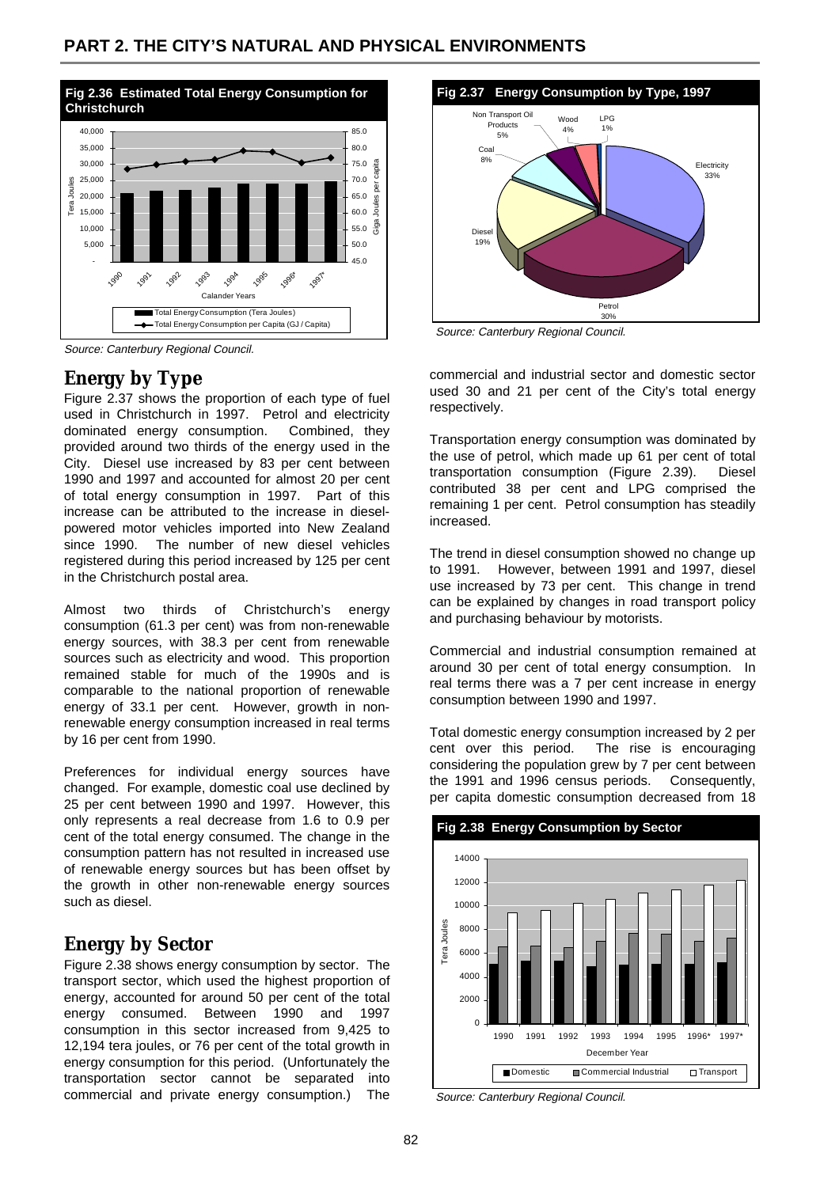

Source: Canterbury Regional Council.

## **Energy by Type**

Figure 2.37 shows the proportion of each type of fuel used in Christchurch in 1997. Petrol and electricity dominated energy consumption. Combined, they provided around two thirds of the energy used in the City. Diesel use increased by 83 per cent between 1990 and 1997 and accounted for almost 20 per cent of total energy consumption in 1997. Part of this increase can be attributed to the increase in dieselpowered motor vehicles imported into New Zealand since 1990. The number of new diesel vehicles registered during this period increased by 125 per cent in the Christchurch postal area.

Almost two thirds of Christchurch's energy consumption (61.3 per cent) was from non-renewable energy sources, with 38.3 per cent from renewable sources such as electricity and wood. This proportion remained stable for much of the 1990s and is comparable to the national proportion of renewable energy of 33.1 per cent. However, growth in nonrenewable energy consumption increased in real terms by 16 per cent from 1990.

Preferences for individual energy sources have changed. For example, domestic coal use declined by 25 per cent between 1990 and 1997. However, this only represents a real decrease from 1.6 to 0.9 per cent of the total energy consumed. The change in the consumption pattern has not resulted in increased use of renewable energy sources but has been offset by the growth in other non-renewable energy sources such as diesel.

## **Energy by Sector**

Figure 2.38 shows energy consumption by sector. The transport sector, which used the highest proportion of energy, accounted for around 50 per cent of the total energy consumed. Between 1990 and 1997 consumption in this sector increased from 9,425 to 12,194 tera joules, or 76 per cent of the total growth in energy consumption for this period. (Unfortunately the transportation sector cannot be separated into commercial and private energy consumption.) The



Source: Canterbury Regional Council.

commercial and industrial sector and domestic sector used 30 and 21 per cent of the City's total energy respectively.

Transportation energy consumption was dominated by the use of petrol, which made up 61 per cent of total transportation consumption (Figure 2.39). Diesel contributed 38 per cent and LPG comprised the remaining 1 per cent. Petrol consumption has steadily increased.

The trend in diesel consumption showed no change up to 1991. However, between 1991 and 1997, diesel use increased by 73 per cent. This change in trend can be explained by changes in road transport policy and purchasing behaviour by motorists.

Commercial and industrial consumption remained at around 30 per cent of total energy consumption. In real terms there was a 7 per cent increase in energy consumption between 1990 and 1997.

Total domestic energy consumption increased by 2 per cent over this period. The rise is encouraging considering the population grew by 7 per cent between the 1991 and 1996 census periods. Consequently, per capita domestic consumption decreased from 18



Source: Canterbury Regional Council.